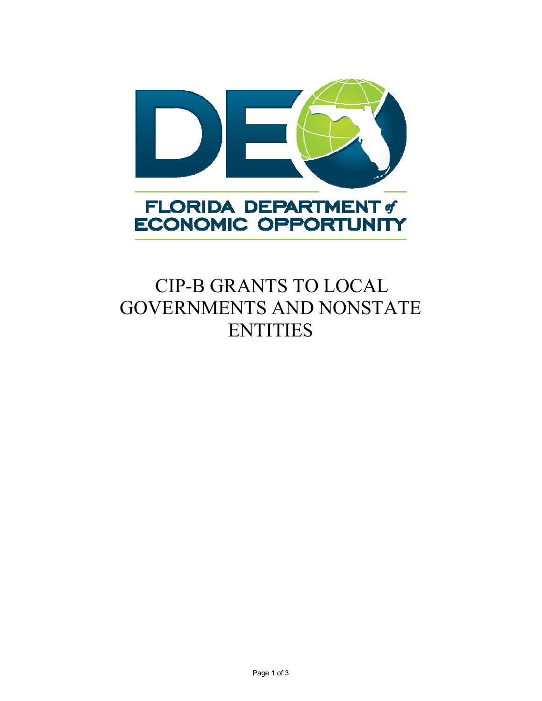



## CIP-B GRANTS TO LOCAL GOVERNMENTS AND NONSTATE **ENTITIES**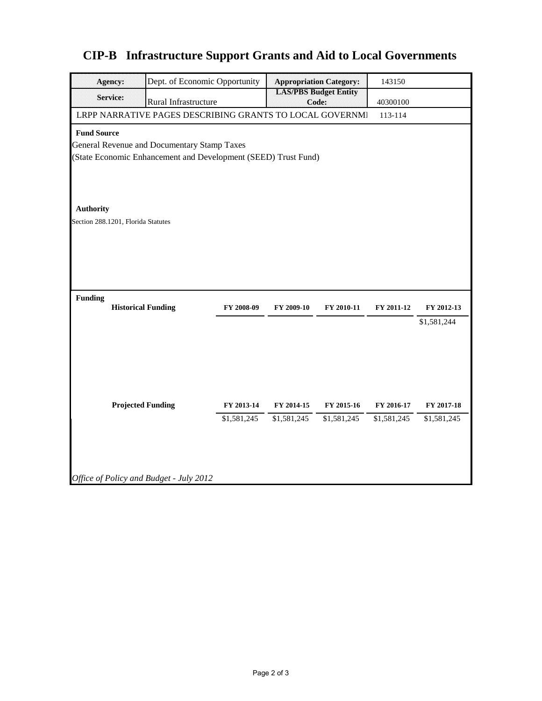## **CIP-B Infrastructure Support Grants and Aid to Local Governments**

|                                                                | <b>Agency:</b>                                           | Dept. of Economic Opportunity           |             |                                       | <b>Appropriation Category:</b> | 143150      |             |  |  |  |  |  |  |
|----------------------------------------------------------------|----------------------------------------------------------|-----------------------------------------|-------------|---------------------------------------|--------------------------------|-------------|-------------|--|--|--|--|--|--|
|                                                                | Service:                                                 | Rural Infrastructure                    |             | <b>LAS/PBS Budget Entity</b><br>Code: |                                | 40300100    |             |  |  |  |  |  |  |
|                                                                | LRPP NARRATIVE PAGES DESCRIBING GRANTS TO LOCAL GOVERNMI | 113-114                                 |             |                                       |                                |             |             |  |  |  |  |  |  |
| <b>Fund Source</b>                                             |                                                          |                                         |             |                                       |                                |             |             |  |  |  |  |  |  |
| General Revenue and Documentary Stamp Taxes                    |                                                          |                                         |             |                                       |                                |             |             |  |  |  |  |  |  |
| (State Economic Enhancement and Development (SEED) Trust Fund) |                                                          |                                         |             |                                       |                                |             |             |  |  |  |  |  |  |
|                                                                |                                                          |                                         |             |                                       |                                |             |             |  |  |  |  |  |  |
|                                                                |                                                          |                                         |             |                                       |                                |             |             |  |  |  |  |  |  |
|                                                                |                                                          |                                         |             |                                       |                                |             |             |  |  |  |  |  |  |
| <b>Authority</b>                                               |                                                          |                                         |             |                                       |                                |             |             |  |  |  |  |  |  |
| Section 288.1201, Florida Statutes                             |                                                          |                                         |             |                                       |                                |             |             |  |  |  |  |  |  |
|                                                                |                                                          |                                         |             |                                       |                                |             |             |  |  |  |  |  |  |
|                                                                |                                                          |                                         |             |                                       |                                |             |             |  |  |  |  |  |  |
|                                                                |                                                          |                                         |             |                                       |                                |             |             |  |  |  |  |  |  |
|                                                                |                                                          |                                         |             |                                       |                                |             |             |  |  |  |  |  |  |
| <b>Funding</b>                                                 |                                                          |                                         |             |                                       |                                |             |             |  |  |  |  |  |  |
|                                                                | <b>Historical Funding</b>                                |                                         | FY 2008-09  | FY 2009-10                            | FY 2010-11                     | FY 2011-12  | FY 2012-13  |  |  |  |  |  |  |
|                                                                |                                                          |                                         |             |                                       |                                |             | \$1,581,244 |  |  |  |  |  |  |
|                                                                |                                                          |                                         |             |                                       |                                |             |             |  |  |  |  |  |  |
|                                                                |                                                          |                                         |             |                                       |                                |             |             |  |  |  |  |  |  |
|                                                                |                                                          |                                         |             |                                       |                                |             |             |  |  |  |  |  |  |
|                                                                |                                                          |                                         |             |                                       |                                |             |             |  |  |  |  |  |  |
|                                                                |                                                          |                                         |             |                                       |                                |             |             |  |  |  |  |  |  |
|                                                                | <b>Projected Funding</b>                                 |                                         | FY 2013-14  | FY 2014-15                            | FY 2015-16                     | FY 2016-17  | FY 2017-18  |  |  |  |  |  |  |
|                                                                |                                                          |                                         | \$1,581,245 | \$1,581,245                           | \$1,581,245                    | \$1,581,245 | \$1,581,245 |  |  |  |  |  |  |
|                                                                |                                                          |                                         |             |                                       |                                |             |             |  |  |  |  |  |  |
|                                                                |                                                          |                                         |             |                                       |                                |             |             |  |  |  |  |  |  |
|                                                                |                                                          |                                         |             |                                       |                                |             |             |  |  |  |  |  |  |
|                                                                |                                                          | Office of Policy and Budget - July 2012 |             |                                       |                                |             |             |  |  |  |  |  |  |